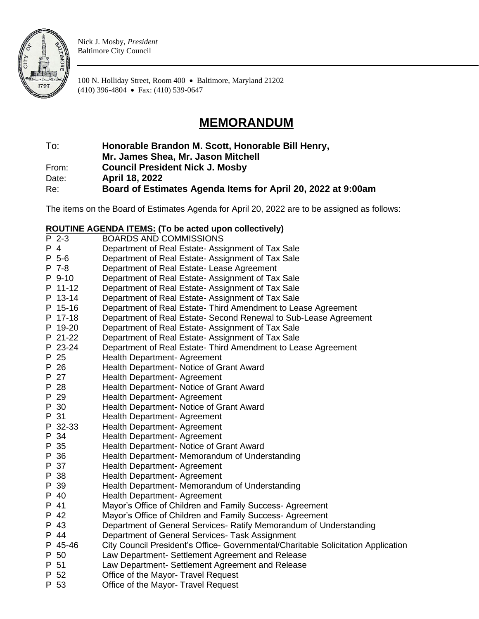

Nick J. Mosby, *President* Baltimore City Council

100 N. Holliday Street, Room 400 • Baltimore, Maryland 21202 (410) 396-4804 • Fax: (410) 539-0647

## **MEMORANDUM**

To: **Honorable Brandon M. Scott, Honorable Bill Henry,** 

**Mr. James Shea, Mr. Jason Mitchell**

From: **Council President Nick J. Mosby**

Date: **April 18, 2022**

Re: **Board of Estimates Agenda Items for April 20, 2022 at 9:00am**

The items on the Board of Estimates Agenda for April 20, 2022 are to be assigned as follows:

## **ROUTINE AGENDA ITEMS: (To be acted upon collectively)**

|     | $P$ 2-3 | <b>BOARDS AND COMMISSIONS</b>                                                     |
|-----|---------|-----------------------------------------------------------------------------------|
| P 4 |         | Department of Real Estate- Assignment of Tax Sale                                 |
|     | $P$ 5-6 | Department of Real Estate- Assignment of Tax Sale                                 |
|     | P 7-8   | Department of Real Estate- Lease Agreement                                        |
|     | P 9-10  | Department of Real Estate- Assignment of Tax Sale                                 |
|     | P 11-12 | Department of Real Estate- Assignment of Tax Sale                                 |
|     | P 13-14 | Department of Real Estate- Assignment of Tax Sale                                 |
|     | P 15-16 | Department of Real Estate- Third Amendment to Lease Agreement                     |
|     | P 17-18 | Department of Real Estate- Second Renewal to Sub-Lease Agreement                  |
|     | P 19-20 | Department of Real Estate- Assignment of Tax Sale                                 |
|     | P 21-22 | Department of Real Estate- Assignment of Tax Sale                                 |
|     | P 23-24 | Department of Real Estate- Third Amendment to Lease Agreement                     |
|     | P 25    | Health Department- Agreement                                                      |
|     | P 26    | Health Department- Notice of Grant Award                                          |
|     | P 27    | <b>Health Department- Agreement</b>                                               |
|     | P 28    | Health Department- Notice of Grant Award                                          |
|     | P 29    | <b>Health Department- Agreement</b>                                               |
|     | P 30    | Health Department- Notice of Grant Award                                          |
|     | P 31    | Health Department- Agreement                                                      |
|     | P 32-33 | <b>Health Department- Agreement</b>                                               |
|     | P 34    | Health Department- Agreement                                                      |
|     | P 35    | Health Department- Notice of Grant Award                                          |
|     | P 36    | Health Department- Memorandum of Understanding                                    |
|     | P 37    | <b>Health Department- Agreement</b>                                               |
|     | P 38    | <b>Health Department- Agreement</b>                                               |
|     | P 39    | Health Department- Memorandum of Understanding                                    |
|     | P 40    | <b>Health Department- Agreement</b>                                               |
|     | P 41    | Mayor's Office of Children and Family Success- Agreement                          |
|     | P 42    | Mayor's Office of Children and Family Success- Agreement                          |
|     | P 43    | Department of General Services- Ratify Memorandum of Understanding                |
|     | P 44    | Department of General Services- Task Assignment                                   |
|     | P 45-46 | City Council President's Office- Governmental/Charitable Solicitation Application |
|     | P 50    | Law Department- Settlement Agreement and Release                                  |
|     | P 51    | Law Department- Settlement Agreement and Release                                  |
|     | P 52    | Office of the Mayor- Travel Request                                               |
|     | P 53    | Office of the Mayor- Travel Request                                               |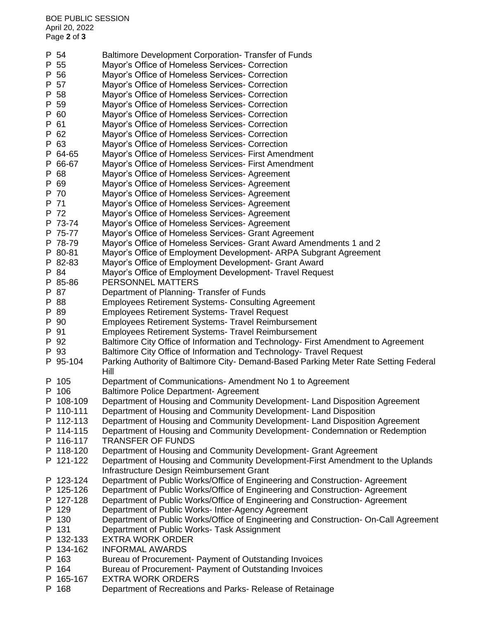|   | P 54      | <b>Baltimore Development Corporation- Transfer of Funds</b>                                  |
|---|-----------|----------------------------------------------------------------------------------------------|
|   |           |                                                                                              |
|   | P 55      | Mayor's Office of Homeless Services- Correction                                              |
|   | P 56      | Mayor's Office of Homeless Services- Correction                                              |
|   | P 57      | Mayor's Office of Homeless Services- Correction                                              |
| P | 58        | Mayor's Office of Homeless Services- Correction                                              |
|   | P 59      | Mayor's Office of Homeless Services- Correction                                              |
|   | P 60      | Mayor's Office of Homeless Services- Correction                                              |
|   | P 61      | Mayor's Office of Homeless Services- Correction                                              |
|   | P 62      | Mayor's Office of Homeless Services- Correction                                              |
|   | P 63      | Mayor's Office of Homeless Services- Correction                                              |
|   | P 64-65   | Mayor's Office of Homeless Services- First Amendment                                         |
|   | P 66-67   |                                                                                              |
|   |           | Mayor's Office of Homeless Services- First Amendment                                         |
|   | P 68      | Mayor's Office of Homeless Services- Agreement                                               |
|   | P 69      | Mayor's Office of Homeless Services- Agreement                                               |
|   | P 70      | Mayor's Office of Homeless Services- Agreement                                               |
|   | P 71      | Mayor's Office of Homeless Services- Agreement                                               |
|   | P 72      | Mayor's Office of Homeless Services- Agreement                                               |
|   | P 73-74   | Mayor's Office of Homeless Services- Agreement                                               |
|   | P 75-77   | Mayor's Office of Homeless Services- Grant Agreement                                         |
|   | P 78-79   | Mayor's Office of Homeless Services- Grant Award Amendments 1 and 2                          |
|   | P 80-81   | Mayor's Office of Employment Development- ARPA Subgrant Agreement                            |
|   | P 82-83   | Mayor's Office of Employment Development- Grant Award                                        |
|   | P 84      | Mayor's Office of Employment Development- Travel Request                                     |
|   | P 85-86   | PERSONNEL MATTERS                                                                            |
|   | P 87      | Department of Planning-Transfer of Funds                                                     |
|   | P 88      | <b>Employees Retirement Systems- Consulting Agreement</b>                                    |
|   |           |                                                                                              |
|   | P 89      | <b>Employees Retirement Systems- Travel Request</b>                                          |
|   | P 90      | <b>Employees Retirement Systems- Travel Reimbursement</b>                                    |
|   | P 91      | <b>Employees Retirement Systems- Travel Reimbursement</b>                                    |
|   | P 92      | Baltimore City Office of Information and Technology- First Amendment to Agreement            |
|   | P 93      | Baltimore City Office of Information and Technology- Travel Request                          |
|   | P 95-104  | Parking Authority of Baltimore City- Demand-Based Parking Meter Rate Setting Federal<br>Hill |
|   | P 105     | Department of Communications- Amendment No 1 to Agreement                                    |
|   | P 106     | Baltimore Police Department- Agreement                                                       |
|   | P 108-109 | Department of Housing and Community Development- Land Disposition Agreement                  |
|   | P 110-111 | Department of Housing and Community Development- Land Disposition                            |
|   | P 112-113 | Department of Housing and Community Development- Land Disposition Agreement                  |
|   | P 114-115 | Department of Housing and Community Development- Condemnation or Redemption                  |
|   | P 116-117 | <b>TRANSFER OF FUNDS</b>                                                                     |
|   | P 118-120 | Department of Housing and Community Development- Grant Agreement                             |
|   | P 121-122 | Department of Housing and Community Development-First Amendment to the Uplands               |
|   |           |                                                                                              |
|   |           | Infrastructure Design Reimbursement Grant                                                    |
|   | P 123-124 | Department of Public Works/Office of Engineering and Construction- Agreement                 |
|   | P 125-126 | Department of Public Works/Office of Engineering and Construction-Agreement                  |
|   | P 127-128 | Department of Public Works/Office of Engineering and Construction-Agreement                  |
| P | 129       | Department of Public Works- Inter-Agency Agreement                                           |
|   | P 130     | Department of Public Works/Office of Engineering and Construction- On-Call Agreement         |
|   | P 131     | Department of Public Works- Task Assignment                                                  |
|   | P 132-133 | <b>EXTRA WORK ORDER</b>                                                                      |
|   | P 134-162 | <b>INFORMAL AWARDS</b>                                                                       |
| P | 163       | Bureau of Procurement- Payment of Outstanding Invoices                                       |
|   | P 164     | Bureau of Procurement- Payment of Outstanding Invoices                                       |
| P | 165-167   | <b>EXTRA WORK ORDERS</b>                                                                     |
|   | P 168     | Department of Recreations and Parks- Release of Retainage                                    |